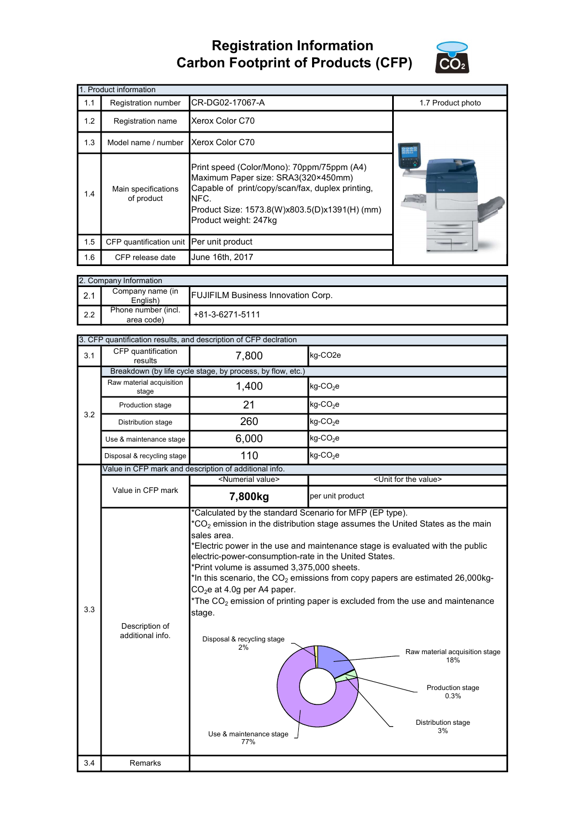## Registration Information Carbon Footprint of Products (CFP)



|     | 1. Product information                   |                                                                                                                                                                                                                         |                   |  |  |
|-----|------------------------------------------|-------------------------------------------------------------------------------------------------------------------------------------------------------------------------------------------------------------------------|-------------------|--|--|
| 1.1 | Registration number                      | CR-DG02-17067-A                                                                                                                                                                                                         | 1.7 Product photo |  |  |
| 1.2 | Registration name                        | Xerox Color C70                                                                                                                                                                                                         |                   |  |  |
| 1.3 | Model name / number                      | Xerox Color C70                                                                                                                                                                                                         |                   |  |  |
| 1.4 | Main specifications<br>of product        | Print speed (Color/Mono): 70ppm/75ppm (A4)<br>Maximum Paper size: SRA3(320×450mm)<br>Capable of print/copy/scan/fax, duplex printing,<br>NFC.<br>Product Size: 1573.8(W)x803.5(D)x1391(H) (mm)<br>Product weight: 247kg | 2604.07           |  |  |
| 1.5 | CFP quantification unit Per unit product |                                                                                                                                                                                                                         |                   |  |  |
| 1.6 | CFP release date                         | June 16th, 2017                                                                                                                                                                                                         |                   |  |  |

| 2. Company Information |                                   |                                           |  |  |
|------------------------|-----------------------------------|-------------------------------------------|--|--|
| $\vert$ 2.1            | Company name (in<br>English)      | <b>FUJIFILM Business Innovation Corp.</b> |  |  |
| $\mathsf{I}$ 2.2       | Phone number (incl.<br>area code) | +81-3-6271-5111                           |  |  |

|     | 3. CFP quantification results, and description of CFP declration |                                                                                                                                                                                                                                                                                                                                                                                                                                                                                                                                                                                                                                                                                                                                        |                                      |  |  |  |
|-----|------------------------------------------------------------------|----------------------------------------------------------------------------------------------------------------------------------------------------------------------------------------------------------------------------------------------------------------------------------------------------------------------------------------------------------------------------------------------------------------------------------------------------------------------------------------------------------------------------------------------------------------------------------------------------------------------------------------------------------------------------------------------------------------------------------------|--------------------------------------|--|--|--|
| 3.1 | CFP quantification<br>results                                    | 7,800                                                                                                                                                                                                                                                                                                                                                                                                                                                                                                                                                                                                                                                                                                                                  | kg-CO <sub>2e</sub>                  |  |  |  |
| 3.2 | Breakdown (by life cycle stage, by process, by flow, etc.)       |                                                                                                                                                                                                                                                                                                                                                                                                                                                                                                                                                                                                                                                                                                                                        |                                      |  |  |  |
|     | Raw material acquisition<br>stage                                | 1,400                                                                                                                                                                                                                                                                                                                                                                                                                                                                                                                                                                                                                                                                                                                                  | $kg$ -CO <sub>2</sub> e              |  |  |  |
|     | Production stage                                                 | 21                                                                                                                                                                                                                                                                                                                                                                                                                                                                                                                                                                                                                                                                                                                                     | $kg$ -CO <sub>2</sub> e              |  |  |  |
|     | Distribution stage                                               | 260                                                                                                                                                                                                                                                                                                                                                                                                                                                                                                                                                                                                                                                                                                                                    | kg-CO <sub>2</sub> e                 |  |  |  |
|     | Use & maintenance stage                                          | 6,000                                                                                                                                                                                                                                                                                                                                                                                                                                                                                                                                                                                                                                                                                                                                  | $kg$ -CO <sub>2</sub> e              |  |  |  |
|     | Disposal & recycling stage                                       | 110                                                                                                                                                                                                                                                                                                                                                                                                                                                                                                                                                                                                                                                                                                                                    | $kg$ -CO <sub>2</sub> e              |  |  |  |
|     | Value in CFP mark and description of additional info.            |                                                                                                                                                                                                                                                                                                                                                                                                                                                                                                                                                                                                                                                                                                                                        |                                      |  |  |  |
|     |                                                                  | <numerial value=""></numerial>                                                                                                                                                                                                                                                                                                                                                                                                                                                                                                                                                                                                                                                                                                         | <unit for="" the="" value=""></unit> |  |  |  |
|     | Value in CFP mark                                                | 7,800kg                                                                                                                                                                                                                                                                                                                                                                                                                                                                                                                                                                                                                                                                                                                                | per unit product                     |  |  |  |
| 3.3 | Description of<br>additional info.                               | *Calculated by the standard Scenario for MFP (EP type).<br>$CO2$ emission in the distribution stage assumes the United States as the main<br>sales area.<br>*Electric power in the use and maintenance stage is evaluated with the public<br>electric-power-consumption-rate in the United States.<br>*Print volume is assumed 3,375,000 sheets.<br>*In this scenario, the $CO2$ emissions from copy papers are estimated 26,000kg-<br>$CO2e$ at 4.0g per A4 paper.<br>*The $CO2$ emission of printing paper is excluded from the use and maintenance<br>stage.<br>Disposal & recycling stage<br>2%<br>Raw material acquisition stage<br>18%<br>Production stage<br>0.3%<br>Distribution stage<br>3%<br>Use & maintenance stage<br>77% |                                      |  |  |  |
| 3.4 | Remarks                                                          |                                                                                                                                                                                                                                                                                                                                                                                                                                                                                                                                                                                                                                                                                                                                        |                                      |  |  |  |